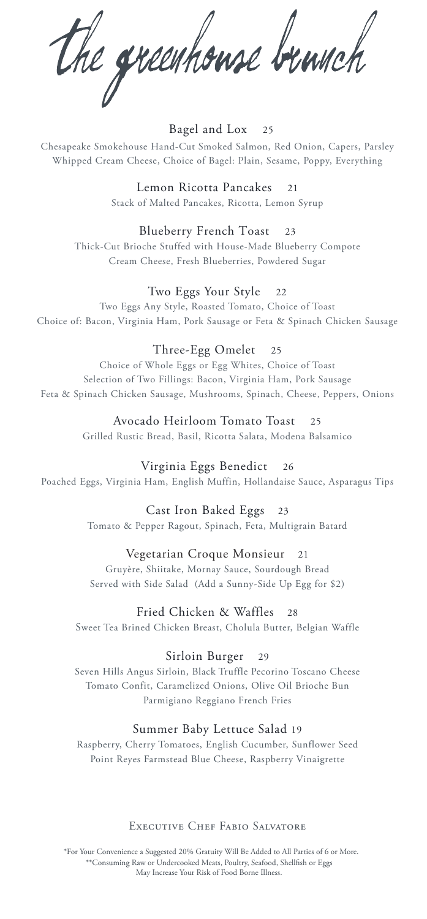the greenhouse brunch

## Bagel and Lox 25

Chesapeake Smokehouse Hand-Cut Smoked Salmon, Red Onion, Capers, Parsley Whipped Cream Cheese, Choice of Bagel: Plain, Sesame, Poppy, Everything

> Lemon Ricotta Pancakes 21 Stack of Malted Pancakes, Ricotta, Lemon Syrup

## Blueberry French Toast 23

Thick-Cut Brioche Stuffed with House-Made Blueberry Compote Cream Cheese, Fresh Blueberries, Powdered Sugar

## Two Eggs Your Style 22

Two Eggs Any Style, Roasted Tomato, Choice of Toast Choice of: Bacon, Virginia Ham, Pork Sausage or Feta & Spinach Chicken Sausage

## Three-Egg Omelet 25

Choice of Whole Eggs or Egg Whites, Choice of Toast Selection of Two Fillings: Bacon, Virginia Ham, Pork Sausage Feta & Spinach Chicken Sausage, Mushrooms, Spinach, Cheese, Peppers, Onions

## Avocado Heirloom Tomato Toast 25

Grilled Rustic Bread, Basil, Ricotta Salata, Modena Balsamico

## Virginia Eggs Benedict 26

Poached Eggs, Virginia Ham, English Muffin, Hollandaise Sauce, Asparagus Tips

#### Cast Iron Baked Eggs 23

Tomato & Pepper Ragout, Spinach, Feta, Multigrain Batard

#### Vegetarian Croque Monsieur 21

Gruyère, Shiitake, Mornay Sauce, Sourdough Bread Served with Side Salad (Add a Sunny-Side Up Egg for \$2)

#### Fried Chicken & Waffles 28

Sweet Tea Brined Chicken Breast, Cholula Butter, Belgian Waffle

#### Sirloin Burger 29

Seven Hills Angus Sirloin, Black Truffle Pecorino Toscano Cheese Tomato Confit, Caramelized Onions, Olive Oil Brioche Bun Parmigiano Reggiano French Fries

## Summer Baby Lettuce Salad 19

Raspberry, Cherry Tomatoes, English Cucumber, Sunflower Seed Point Reyes Farmstead Blue Cheese, Raspberry Vinaigrette

#### EXECUTIVE CHEF FABIO SALVATORE

\*For Your Convenience a Suggested 20% Gratuity Will Be Added to All Parties of 6 or More. \*\*Consuming Raw or Undercooked Meats, Poultry, Seafood, Shellfish or Eggs May Increase Your Risk of Food Borne Illness.